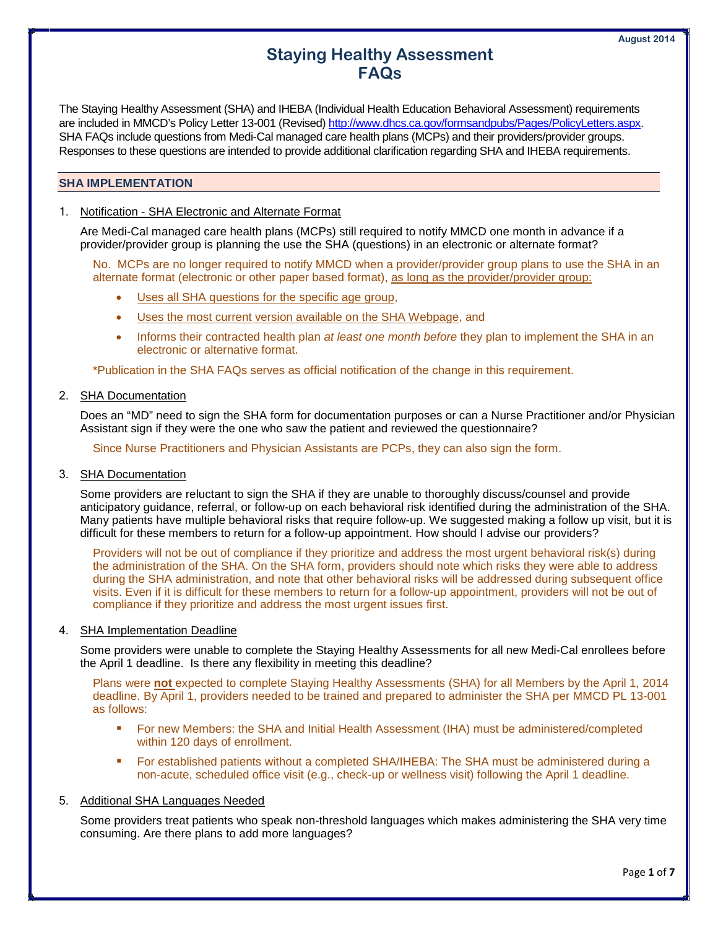The Staying Healthy Assessment (SHA) and IHEBA (Individual Health Education Behavioral Assessment) requirements are included in MMCD's Policy Letter 13-001 (Revised) http://www.dhcs.ca.gov/formsandpubs/Pages/PolicyLetters.aspx. SHA FAQs include questions from Medi-Cal managed care health plans (MCPs) and their providers/provider groups.

Responses to these questions are intended to provide additional clarification regarding SHA and IHEBA requirements.

## **SHA IMPLEMENTATION**

# 1. Notification - SHA Electronic and Alternate Format

Are Medi-Cal managed care health plans (MCPs) still required to notify MMCD one month in advance if a provider/provider group is planning the use the SHA (questions) in an electronic or alternate format?

No. MCPs are no longer required to notify MMCD when a provider/provider group plans to use the SHA in an alternate format (electronic or other paper based format), as long as the provider/provider group:

- Uses all SHA questions for the specific age group,
- Uses the most current version available on the SHA Webpage, and
- Informs their contracted health plan *at least one month before* they plan to implement the SHA in an electronic or alternative format.

\*Publication in the SHA FAQs serves as official notification of the change in this requirement.

# 2. SHA Documentation

Does an "MD" need to sign the SHA form for documentation purposes or can a Nurse Practitioner and/or Physician Assistant sign if they were the one who saw the patient and reviewed the questionnaire?

Since Nurse Practitioners and Physician Assistants are PCPs, they can also sign the form.

3. SHA Documentation

Some providers are reluctant to sign the SHA if they are unable to thoroughly discuss/counsel and provide anticipatory guidance, referral, or follow-up on each behavioral risk identified during the administration of the SHA. Many patients have multiple behavioral risks that require follow-up. We suggested making a follow up visit, but it is difficult for these members to return for a follow-up appointment. How should I advise our providers?

Providers will not be out of compliance if they prioritize and address the most urgent behavioral risk(s) during the administration of the SHA. On the SHA form, providers should note which risks they were able to address during the SHA administration, and note that other behavioral risks will be addressed during subsequent office visits. Even if it is difficult for these members to return for a follow-up appointment, providers will not be out of compliance if they prioritize and address the most urgent issues first.

# 4. SHA Implementation Deadline

Some providers were unable to complete the Staying Healthy Assessments for all new Medi-Cal enrollees before the April 1 deadline. Is there any flexibility in meeting this deadline?

Plans were **not** expected to complete Staying Healthy Assessments (SHA) for all Members by the April 1, 2014 deadline. By April 1, providers needed to be trained and prepared to administer the SHA per MMCD PL 13-001 as follows:

- For new Members: the SHA and Initial Health Assessment (IHA) must be administered/completed within 120 days of enrollment.
- For established patients without a completed SHA/IHEBA: The SHA must be administered during a non-acute, scheduled office visit (e.g., check-up or wellness visit) following the April 1 deadline.

# 5. Additional SHA Languages Needed

Some providers treat patients who speak non-threshold languages which makes administering the SHA very time consuming. Are there plans to add more languages?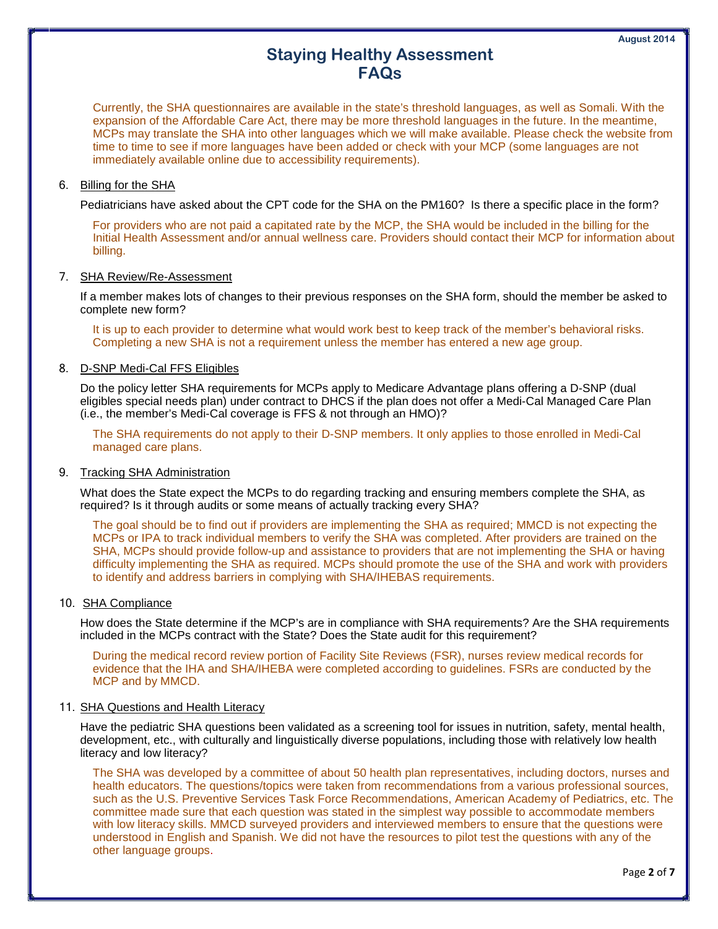Currently, the SHA questionnaires are available in the state's threshold languages, as well as Somali. With the expansion of the Affordable Care Act, there may be more threshold languages in the future. In the meantime, MCPs may translate the SHA into other languages which we will make available. Please check the website from time to time to see if more languages have been added or check with your MCP (some languages are not immediately available online due to accessibility requirements).

#### 6. Billing for the SHA

Pediatricians have asked about the CPT code for the SHA on the PM160? Is there a specific place in the form?

For providers who are not paid a capitated rate by the MCP, the SHA would be included in the billing for the Initial Health Assessment and/or annual wellness care. Providers should contact their MCP for information about billing.

# 7. SHA Review/Re-Assessment

If a member makes lots of changes to their previous responses on the SHA form, should the member be asked to complete new form?

It is up to each provider to determine what would work best to keep track of the member's behavioral risks. Completing a new SHA is not a requirement unless the member has entered a new age group.

# 8. D-SNP Medi-Cal FFS Eligibles

Do the policy letter SHA requirements for MCPs apply to Medicare Advantage plans offering a D-SNP (dual eligibles special needs plan) under contract to DHCS if the plan does not offer a Medi-Cal Managed Care Plan (i.e., the member's Medi-Cal coverage is FFS & not through an HMO)?

The SHA requirements do not apply to their D-SNP members. It only applies to those enrolled in Medi-Cal managed care plans.

#### 9. Tracking SHA Administration

What does the State expect the MCPs to do regarding tracking and ensuring members complete the SHA, as required? Is it through audits or some means of actually tracking every SHA?

The goal should be to find out if providers are implementing the SHA as required; MMCD is not expecting the MCPs or IPA to track individual members to verify the SHA was completed. After providers are trained on the SHA, MCPs should provide follow-up and assistance to providers that are not implementing the SHA or having difficulty implementing the SHA as required. MCPs should promote the use of the SHA and work with providers to identify and address barriers in complying with SHA/IHEBAS requirements.

# 10. SHA Compliance

How does the State determine if the MCP's are in compliance with SHA requirements? Are the SHA requirements included in the MCPs contract with the State? Does the State audit for this requirement?

During the medical record review portion of Facility Site Reviews (FSR), nurses review medical records for evidence that the IHA and SHA/IHEBA were completed according to guidelines. FSRs are conducted by the MCP and by MMCD.

#### 11. SHA Questions and Health Literacy

Have the pediatric SHA questions been validated as a screening tool for issues in nutrition, safety, mental health, development, etc., with culturally and linguistically diverse populations, including those with relatively low health literacy and low literacy?

The SHA was developed by a committee of about 50 health plan representatives, including doctors, nurses and health educators. The questions/topics were taken from recommendations from a various professional sources, such as the U.S. Preventive Services Task Force Recommendations, American Academy of Pediatrics, etc. The committee made sure that each question was stated in the simplest way possible to accommodate members with low literacy skills. MMCD surveyed providers and interviewed members to ensure that the questions were understood in English and Spanish. We did not have the resources to pilot test the questions with any of the other language groups.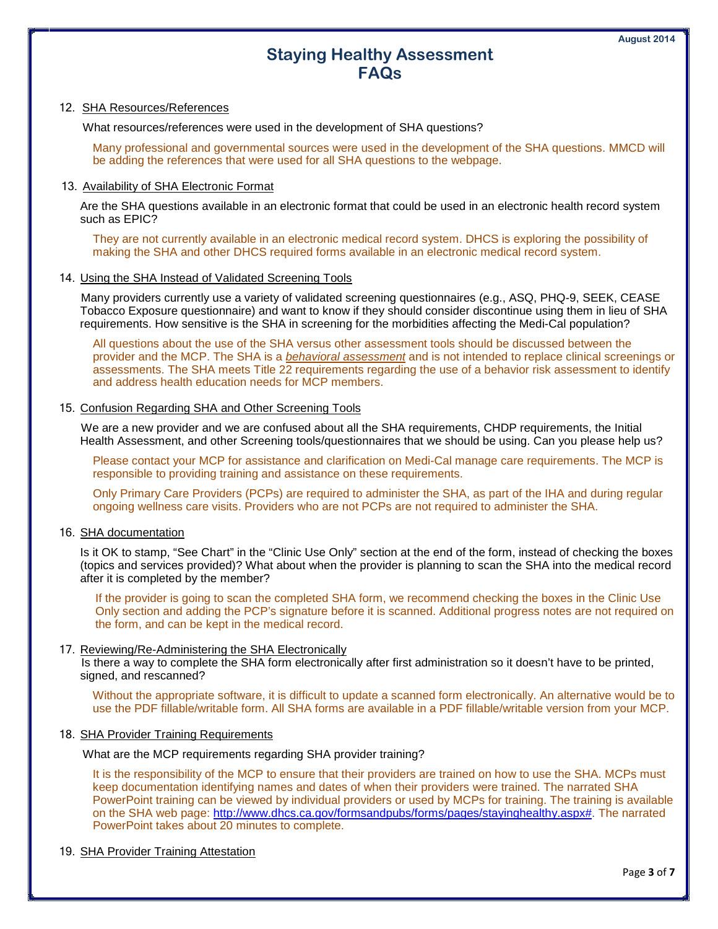#### 12. SHA Resources/References

What resources/references were used in the development of SHA questions?

Many professional and governmental sources were used in the development of the SHA questions. MMCD will be adding the references that were used for all SHA questions to the webpage.

## 13. Availability of SHA Electronic Format

Are the SHA questions available in an electronic format that could be used in an electronic health record system such as EPIC?

They are not currently available in an electronic medical record system. DHCS is exploring the possibility of making the SHA and other DHCS required forms available in an electronic medical record system.

# 14. Using the SHA Instead of Validated Screening Tools

Many providers currently use a variety of validated screening questionnaires (e.g., ASQ, PHQ-9, SEEK, CEASE Tobacco Exposure questionnaire) and want to know if they should consider discontinue using them in lieu of SHA requirements. How sensitive is the SHA in screening for the morbidities affecting the Medi-Cal population?

All questions about the use of the SHA versus other assessment tools should be discussed between the provider and the MCP. The SHA is a *behavioral assessment* and is not intended to replace clinical screenings or assessments. The SHA meets Title 22 requirements regarding the use of a behavior risk assessment to identify and address health education needs for MCP members.

# 15. Confusion Regarding SHA and Other Screening Tools

We are a new provider and we are confused about all the SHA requirements, CHDP requirements, the Initial Health Assessment, and other Screening tools/questionnaires that we should be using. Can you please help us?

Please contact your MCP for assistance and clarification on Medi-Cal manage care requirements. The MCP is responsible to providing training and assistance on these requirements.

Only Primary Care Providers (PCPs) are required to administer the SHA, as part of the IHA and during regular ongoing wellness care visits. Providers who are not PCPs are not required to administer the SHA.

#### 16. SHA documentation

Is it OK to stamp, "See Chart" in the "Clinic Use Only" section at the end of the form, instead of checking the boxes (topics and services provided)? What about when the provider is planning to scan the SHA into the medical record after it is completed by the member?

If the provider is going to scan the completed SHA form, we recommend checking the boxes in the Clinic Use Only section and adding the PCP's signature before it is scanned. Additional progress notes are not required on the form, and can be kept in the medical record.

### 17. Reviewing/Re-Administering the SHA Electronically

Is there a way to complete the SHA form electronically after first administration so it doesn't have to be printed, signed, and rescanned?

Without the appropriate software, it is difficult to update a scanned form electronically. An alternative would be to use the PDF fillable/writable form. All SHA forms are available in a PDF fillable/writable version from your MCP.

# 18. SHA Provider Training Requirements

What are the MCP requirements regarding SHA provider training?

It is the responsibility of the MCP to ensure that their providers are trained on how to use the SHA. MCPs must keep documentation identifying names and dates of when their providers were trained. The narrated SHA PowerPoint training can be viewed by individual providers or used by MCPs for training. The training is available on the SHA web page: [http://www.dhcs.ca.gov/formsandpubs/forms/pages/stayinghealthy.aspx#.](http://www.dhcs.ca.gov/formsandpubs/forms/pages/stayinghealthy.aspx) The narrated PowerPoint takes about 20 minutes to complete.

# 19. SHA Provider Training Attestation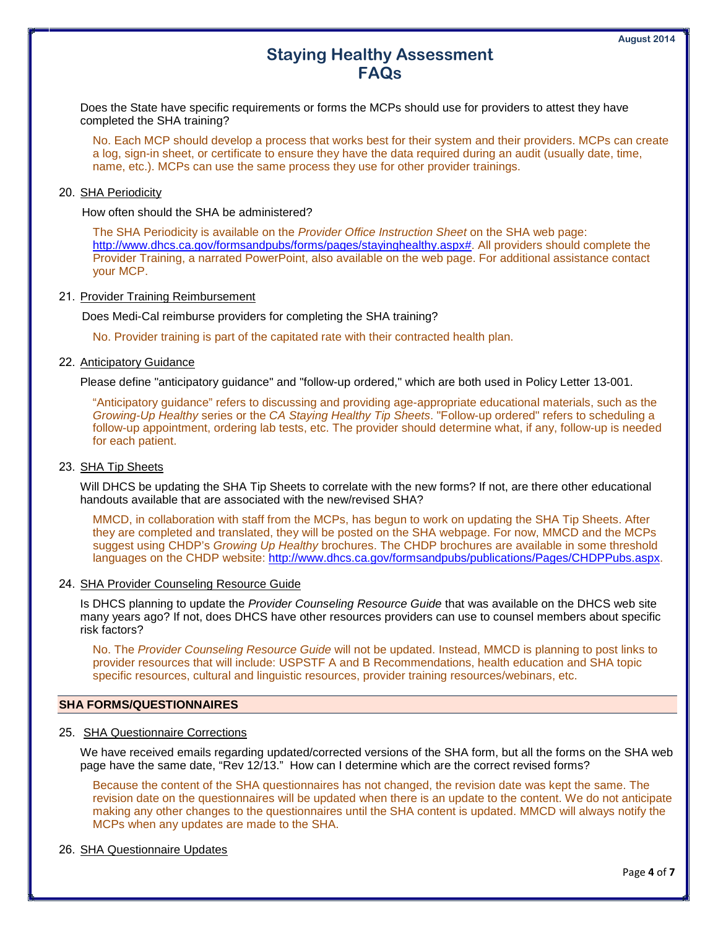Does the State have specific requirements or forms the MCPs should use for providers to attest they have completed the SHA training?

No. Each MCP should develop a process that works best for their system and their providers. MCPs can create a log, sign-in sheet, or certificate to ensure they have the data required during an audit (usually date, time, name, etc.). MCPs can use the same process they use for other provider trainings.

# 20. SHA Periodicity

How often should the SHA be administered?

The SHA Periodicity is available on the *Provider Office Instruction Sheet* on the SHA web page: [http://www.dhcs.ca.gov/formsandpubs/forms/pages/stayinghealthy.aspx#.](http://www.dhcs.ca.gov/formsandpubs/forms/pages/stayinghealthy.aspx) All providers should complete the Provider Training, a narrated PowerPoint, also available on the web page. For additional assistance contact your MCP.

# 21. Provider Training Reimbursement

Does Medi-Cal reimburse providers for completing the SHA training?

No. Provider training is part of the capitated rate with their contracted health plan.

#### 22. Anticipatory Guidance

Please define "anticipatory guidance" and "follow-up ordered," which are both used in Policy Letter 13-001.

"Anticipatory guidance" refers to discussing and providing age-appropriate educational materials, such as the *Growing-Up Healthy* series or the *CA Staying Healthy Tip Sheets*. "Follow-up ordered" refers to scheduling a follow-up appointment, ordering lab tests, etc. The provider should determine what, if any, follow-up is needed for each patient.

#### 23. SHA Tip Sheets

Will DHCS be updating the SHA Tip Sheets to correlate with the new forms? If not, are there other educational handouts available that are associated with the new/revised SHA?

MMCD, in collaboration with staff from the MCPs, has begun to work on updating the SHA Tip Sheets. After they are completed and translated, they will be posted on the SHA webpage. For now, MMCD and the MCPs suggest using CHDP's *Growing Up Healthy* brochures. The CHDP brochures are available in some threshold languages on the CHDP website: [http://www.dhcs.ca.gov/formsandpubs/publications/Pages/CHDPPubs.aspx.](http://www.dhcs.ca.gov/formsandpubs/publications/Pages/CHDPPubs.aspx)

#### 24. SHA Provider Counseling Resource Guide

Is DHCS planning to update the *Provider Counseling Resource Guide* that was available on the DHCS web site many years ago? If not, does DHCS have other resources providers can use to counsel members about specific risk factors?

No. The *Provider Counseling Resource Guide* will not be updated. Instead, MMCD is planning to post links to provider resources that will include: USPSTF A and B Recommendations, health education and SHA topic specific resources, cultural and linguistic resources, provider training resources/webinars, etc.

#### **SHA FORMS/QUESTIONNAIRES**

### 25. SHA Questionnaire Corrections

We have received emails regarding updated/corrected versions of the SHA form, but all the forms on the SHA web page have the same date, "Rev 12/13." How can I determine which are the correct revised forms?

Because the content of the SHA questionnaires has not changed, the revision date was kept the same. The revision date on the questionnaires will be updated when there is an update to the content. We do not anticipate making any other changes to the questionnaires until the SHA content is updated. MMCD will always notify the MCPs when any updates are made to the SHA.

### 26. SHA Questionnaire Updates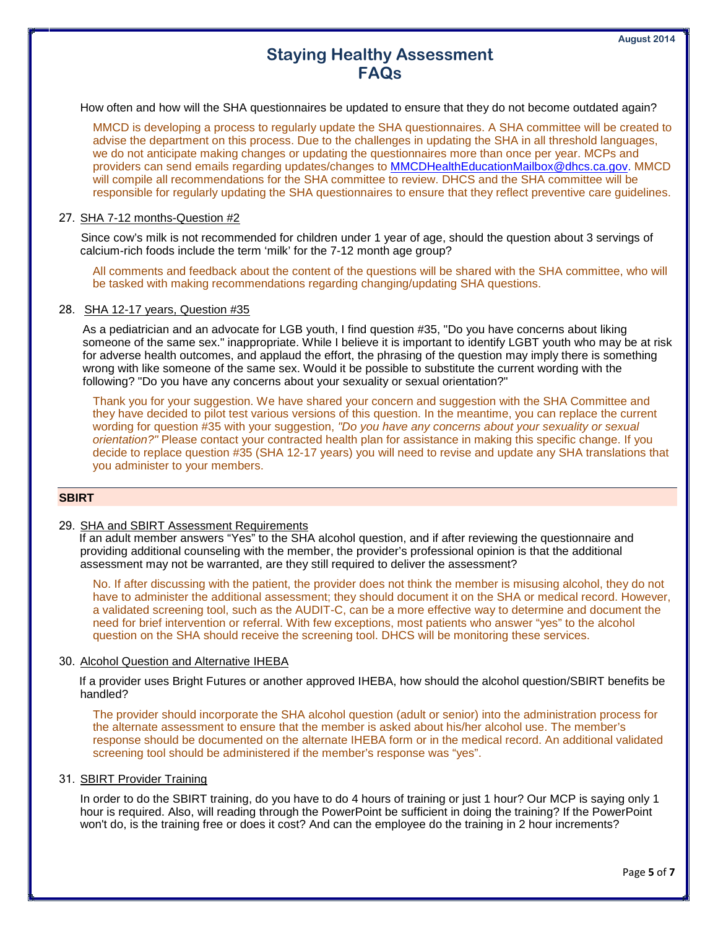How often and how will the SHA questionnaires be updated to ensure that they do not become outdated again?

MMCD is developing a process to regularly update the SHA questionnaires. A SHA committee will be created to advise the department on this process. Due to the challenges in updating the SHA in all threshold languages, we do not anticipate making changes or updating the questionnaires more than once per year. MCPs and providers can send emails regarding updates/changes to [MMCDHealthEducationMailbox@dhcs.ca.gov.](mailto:MMCDHealthEducationMailbox@dhcs.ca.gov) MMCD will compile all recommendations for the SHA committee to review. DHCS and the SHA committee will be responsible for regularly updating the SHA questionnaires to ensure that they reflect preventive care guidelines.

# 27. SHA 7-12 months-Question #2

Since cow's milk is not recommended for children under 1 year of age, should the question about 3 servings of calcium-rich foods include the term 'milk' for the 7-12 month age group?

All comments and feedback about the content of the questions will be shared with the SHA committee, who will be tasked with making recommendations regarding changing/updating SHA questions.

# 28. SHA 12-17 years, Question #35

As a pediatrician and an advocate for LGB youth, I find question #35, "Do you have concerns about liking someone of the same sex." inappropriate. While I believe it is important to identify LGBT youth who may be at risk for adverse health outcomes, and applaud the effort, the phrasing of the question may imply there is something wrong with like someone of the same sex. Would it be possible to substitute the current wording with the following? "Do you have any concerns about your sexuality or sexual orientation?"

Thank you for your suggestion. We have shared your concern and suggestion with the SHA Committee and they have decided to pilot test various versions of this question. In the meantime, you can replace the current wording for question #35 with your suggestion, *"Do you have any concerns about your sexuality or sexual orientation?"* Please contact your contracted health plan for assistance in making this specific change. If you decide to replace question #35 (SHA 12-17 years) you will need to revise and update any SHA translations that you administer to your members.

# **SBIRT**

### 29. SHA and SBIRT Assessment Requirements

If an adult member answers "Yes" to the SHA alcohol question, and if after reviewing the questionnaire and providing additional counseling with the member, the provider's professional opinion is that the additional assessment may not be warranted, are they still required to deliver the assessment?

No. If after discussing with the patient, the provider does not think the member is misusing alcohol, they do not have to administer the additional assessment; they should document it on the SHA or medical record. However, a validated screening tool, such as the AUDIT-C, can be a more effective way to determine and document the need for brief intervention or referral. With few exceptions, most patients who answer "yes" to the alcohol question on the SHA should receive the screening tool. DHCS will be monitoring these services.

#### 30. Alcohol Question and Alternative IHEBA

If a provider uses Bright Futures or another approved IHEBA, how should the alcohol question/SBIRT benefits be handled?

The provider should incorporate the SHA alcohol question (adult or senior) into the administration process for the alternate assessment to ensure that the member is asked about his/her alcohol use. The member's response should be documented on the alternate IHEBA form or in the medical record. An additional validated screening tool should be administered if the member's response was "yes".

## 31. SBIRT Provider Training

In order to do the SBIRT training, do you have to do 4 hours of training or just 1 hour? Our MCP is saying only 1 hour is required. Also, will reading through the PowerPoint be sufficient in doing the training? If the PowerPoint won't do, is the training free or does it cost? And can the employee do the training in 2 hour increments?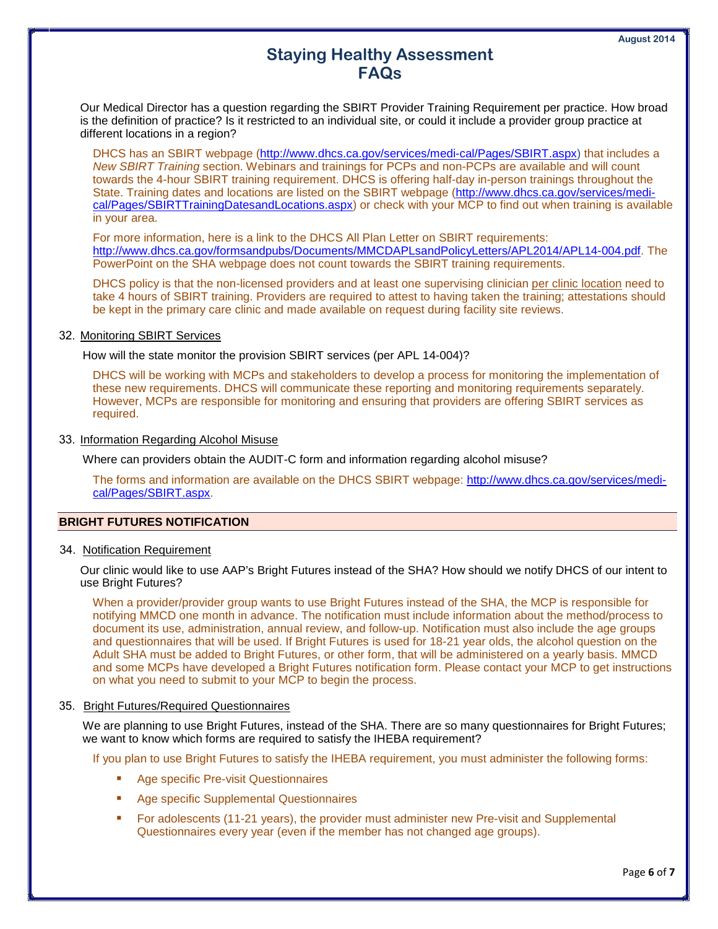Our Medical Director has a question regarding the SBIRT Provider Training Requirement per practice. How broad is the definition of practice? Is it restricted to an individual site, or could it include a provider group practice at different locations in a region?

DHCS has an SBIRT webpage [\(http://www.dhcs.ca.gov/services/medi-cal/Pages/SBIRT.aspx\)](http://www.dhcs.ca.gov/services/medi-cal/Pages/SBIRT.aspx) that includes a *New SBIRT Training* section. Webinars and trainings for PCPs and non-PCPs are available and will count towards the 4-hour SBIRT training requirement. DHCS is offering half-day in-person trainings throughout the State. Training dates and locations are listed on the SBIRT webpage [\(http://www.dhcs.ca.gov/services/medi](http://www.dhcs.ca.gov/services/medi-cal/Pages/SBIRTTrainingDatesandLocations.aspx)[cal/Pages/SBIRTTrainingDatesandLocations.aspx\)](http://www.dhcs.ca.gov/services/medi-cal/Pages/SBIRTTrainingDatesandLocations.aspx) or check with your MCP to find out when training is available in your area.

For more information, here is a link to the DHCS All Plan Letter on SBIRT requirements: [http://www.dhcs.ca.gov/formsandpubs/Documents/MMCDAPLsandPolicyLetters/APL2014/APL14-004.pdf.](http://www.dhcs.ca.gov/formsandpubs/Documents/MMCDAPLsandPolicyLetters/APL2014/APL14-004.pdf) The PowerPoint on the SHA webpage does not count towards the SBIRT training requirements.

DHCS policy is that the non-licensed providers and at least one supervising clinician per clinic location need to take 4 hours of SBIRT training. Providers are required to attest to having taken the training; attestations should be kept in the primary care clinic and made available on request during facility site reviews.

# 32. Monitoring SBIRT Services

How will the state monitor the provision SBIRT services (per APL 14-004)?

DHCS will be working with MCPs and stakeholders to develop a process for monitoring the implementation of these new requirements. DHCS will communicate these reporting and monitoring requirements separately. However, MCPs are responsible for monitoring and ensuring that providers are offering SBIRT services as required.

# 33. Information Regarding Alcohol Misuse

Where can providers obtain the AUDIT-C form and information regarding alcohol misuse?

The forms and information are available on the DHCS SBIRT webpage: [http://www.dhcs.ca.gov/services/medi](http://www.dhcs.ca.gov/services/medi-cal/Pages/SBIRT.aspx)[cal/Pages/SBIRT.aspx.](http://www.dhcs.ca.gov/services/medi-cal/Pages/SBIRT.aspx)

# **BRIGHT FUTURES NOTIFICATION**

## 34. Notification Requirement

Our clinic would like to use AAP's Bright Futures instead of the SHA? How should we notify DHCS of our intent to use Bright Futures?

When a provider/provider group wants to use Bright Futures instead of the SHA, the MCP is responsible for notifying MMCD one month in advance. The notification must include information about the method/process to document its use, administration, annual review, and follow-up. Notification must also include the age groups and questionnaires that will be used. If Bright Futures is used for 18-21 year olds, the alcohol question on the Adult SHA must be added to Bright Futures, or other form, that will be administered on a yearly basis. MMCD and some MCPs have developed a Bright Futures notification form. Please contact your MCP to get instructions on what you need to submit to your MCP to begin the process.

### 35. Bright Futures/Required Questionnaires

We are planning to use Bright Futures, instead of the SHA. There are so many questionnaires for Bright Futures; we want to know which forms are required to satisfy the IHEBA requirement?

If you plan to use Bright Futures to satisfy the IHEBA requirement, you must administer the following forms:

- Age specific Pre-visit Questionnaires
- Age specific Supplemental Questionnaires
- For adolescents (11-21 years), the provider must administer new Pre-visit and Supplemental Questionnaires every year (even if the member has not changed age groups).

Page **6** of **7**